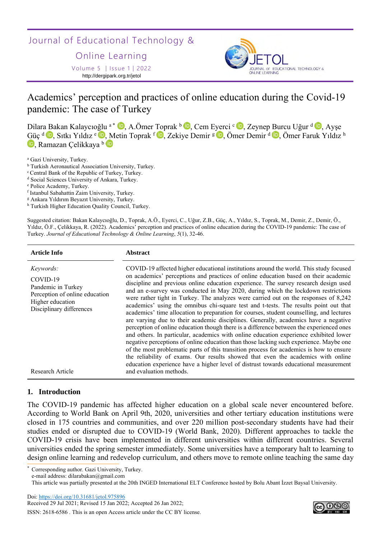Journal of Educational Technology &

Online Learning

Volume 5 │Issue 1│2022 http://dergipark.org.tr/jetol



# Academics' perception and practices of online education during the Covid-19 pandemic: The case of Turkey

Dilar[a B](https://orcid.org/0000-0001-5115-6484)akan Kalaycıoğlu <sup>a \*</sup> D[,](https://orcid.org/0000-0002-5141-2529) A.Ömer Toprak <sup>b</sup> D, Cem E[yer](https://orcid.org/0000-0003-4009-7751)ci <sup>c</sup> D, Zeynep [Bu](https://orcid.org/0000-0001-8684-1932)rcu Uğur <sup>d</sup> D, Ayşe [Gü](https://orcid.org/0000-0003-1091-6672)ç <sup>d</sup> D[,](https://orcid.org/0000-0001-9217-6318) Sıtkı Yıldız <sup>e</sup> D, [M](https://orcid.org/0000-0002-8200-7075)etin Toprak <sup>f</sup> D, Zekiye Demir <sup>g</sup> D, Ömer Demir <sup>d</sup> D, Ömer Faruk Yıldız <sup>h</sup> **D**, Ramazan Celikkaya b

- <sup>b</sup> Turkish Aeronautical Association University, Turkey.
- <sup>c</sup> Central Bank of the Republic of Turkey, Turkey.
- <sup>d</sup> Social Sciences University of Ankara, Turkey.

- f Istanbul Sabahattin Zaim University, Turkey.
- <sup>g</sup> Ankara Yıldırım Beyazıt University, Turkey.

h Turkish Higher Education Quality Council, Turkey.

Suggested citation: Bakan Kalaycıoğlu, D., Toprak, A.Ö., Eyerci, C., Uğur, Z.B., Güç, A., Yıldız, S., Toprak, M., Demir, Z., Demir, Ö., Yıldız, Ö.F., Çelikkaya, R. (2022). Academics' perception and practices of online education during the COVID-19 pandemic: The case of Turkey. *Journal of Educational Technology & Online Learning*, *5*(1), 32-46.

| Article Info                                                                                                                                             | <b>Abstract</b>                                                                                                                                                                                                                                                                                                                                                                                                                                                                                                                                                                                                                                                                                                                                                                                                                                                                                                                                                                                                                                                                                                                                                                                                                                                                                                |
|----------------------------------------------------------------------------------------------------------------------------------------------------------|----------------------------------------------------------------------------------------------------------------------------------------------------------------------------------------------------------------------------------------------------------------------------------------------------------------------------------------------------------------------------------------------------------------------------------------------------------------------------------------------------------------------------------------------------------------------------------------------------------------------------------------------------------------------------------------------------------------------------------------------------------------------------------------------------------------------------------------------------------------------------------------------------------------------------------------------------------------------------------------------------------------------------------------------------------------------------------------------------------------------------------------------------------------------------------------------------------------------------------------------------------------------------------------------------------------|
| <i>Keywords:</i><br>COVID-19<br>Pandemic in Turkey<br>Perception of online education<br>Higher education<br>Disciplinary differences<br>Research Article | COVID-19 affected higher educational institutions around the world. This study focused<br>on academics' perceptions and practices of online education based on their academic<br>discipline and previous online education experience. The survey research design used<br>and an e-survey was conducted in May 2020, during which the lockdown restrictions<br>were rather tight in Turkey. The analyzes were carried out on the responses of 8,242<br>academics' using the omnibus chi-square test and t-tests. The results point out that<br>academics' time allocation to preparation for courses, student counselling, and lectures<br>are varying due to their academic disciplines. Generally, academics have a negative<br>perception of online education though there is a difference between the experienced ones<br>and others. In particular, academics with online education experience exhibited lower<br>negative perceptions of online education than those lacking such experience. Maybe one<br>of the most problematic parts of this transition process for academics is how to ensure<br>the reliability of exams. Our results showed that even the academics with online<br>education experience have a higher level of distrust towards educational measurement<br>and evaluation methods. |
|                                                                                                                                                          |                                                                                                                                                                                                                                                                                                                                                                                                                                                                                                                                                                                                                                                                                                                                                                                                                                                                                                                                                                                                                                                                                                                                                                                                                                                                                                                |

## **1. Introduction**

The COVID-19 pandemic has affected higher education on a global scale never encountered before. According to World Bank on April 9th, 2020, universities and other tertiary education institutions were closed in 175 countries and communities, and over 220 million post-secondary students have had their studies ended or disrupted due to COVID-19 (World Bank, 2020). Different approaches to tackle the COVID-19 crisis have been implemented in different universities within different countries. Several universities ended the spring semester immediately. Some universities have a temporary halt to learning to design online learning and redevelop curriculum, and others move to remote online teaching the same day

Corresponding author. Gazi University, Turkey.

Doi:<https://doi.org/10.31681/jetol.975896>

Received 29 Jul 2021; Revised 15 Jan 2022; Accepted 26 Jan 2022;



<sup>a</sup> Gazi University, Turkey.

<sup>e</sup> Police Academy, Turkey.

e-mail address: dilarabakan@gmail.com

This article was partially presented at the 20th INGED International ELT Conference hosted by Bolu Abant İzzet Baysal University.

ISSN: 2618-6586 . This is an open Access article under the CC BY license.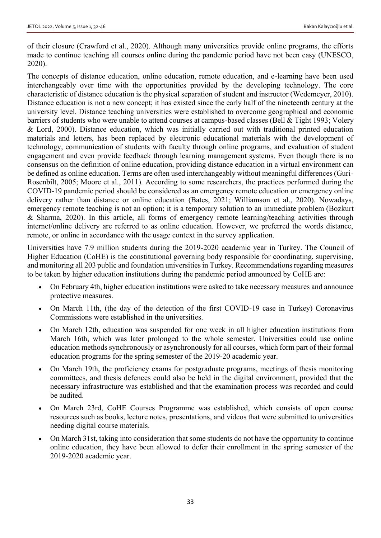of their closure (Crawford et al., 2020). Although many universities provide online programs, the efforts made to continue teaching all courses online during the pandemic period have not been easy (UNESCO, 2020).

The concepts of distance education, online education, remote education, and e-learning have been used interchangeably over time with the opportunities provided by the developing technology. The core characteristic of distance education is the physical separation of student and instructor (Wedemeyer, 2010). Distance education is not a new concept; it has existed since the early half of the nineteenth century at the university level. Distance teaching universities were established to overcome geographical and economic barriers of students who were unable to attend courses at campus-based classes (Bell & Tight 1993; Volery & Lord, 2000). Distance education, which was initially carried out with traditional printed education materials and letters, has been replaced by electronic educational materials with the development of technology, communication of students with faculty through online programs, and evaluation of student engagement and even provide feedback through learning management systems. Even though there is no consensus on the definition of online education, providing distance education in a virtual environment can be defined as online education. Terms are often used interchangeably without meaningful differences (Guri-Rosenbilt, 2005; Moore et al., 2011). According to some researchers, the practices performed during the COVID-19 pandemic period should be considered as an emergency remote education or emergency online delivery rather than distance or online education (Bates, 2021; Williamson et al., 2020). Nowadays, emergency remote teaching is not an option; it is a temporary solution to an immediate problem (Bozkurt & Sharma, 2020). In this article, all forms of emergency remote learning/teaching activities through internet/online delivery are referred to as online education. However, we preferred the words distance, remote, or online in accordance with the usage context in the survey application.

Universities have 7.9 million students during the 2019-2020 academic year in Turkey. The Council of Higher Education (CoHE) is the constitutional governing body responsible for coordinating, supervising, and monitoring all 203 public and foundation universities in Turkey. Recommendations regarding measures to be taken by higher education institutions during the pandemic period announced by CoHE are:

- On February 4th, higher education institutions were asked to take necessary measures and announce protective measures.
- On March 11th, (the day of the detection of the first COVID-19 case in Turkey) Coronavirus Commissions were established in the universities.
- On March 12th, education was suspended for one week in all higher education institutions from March 16th, which was later prolonged to the whole semester. Universities could use online education methods synchronously or asynchronously for all courses, which form part of their formal education programs for the spring semester of the 2019-20 academic year.
- On March 19th, the proficiency exams for postgraduate programs, meetings of thesis monitoring committees, and thesis defences could also be held in the digital environment, provided that the necessary infrastructure was established and that the examination process was recorded and could be audited.
- On March 23rd, CoHE [Courses Programme](https://yokdersleri.yok.gov.tr/) was established, which consists of open course resources such as books, lecture notes, presentations, and videos that were submitted to universities needing digital course materials.
- On March 31st, taking into consideration that some students do not have the opportunity to continue online education, they have been allowed to defer their enrollment in the spring semester of the 2019-2020 academic year.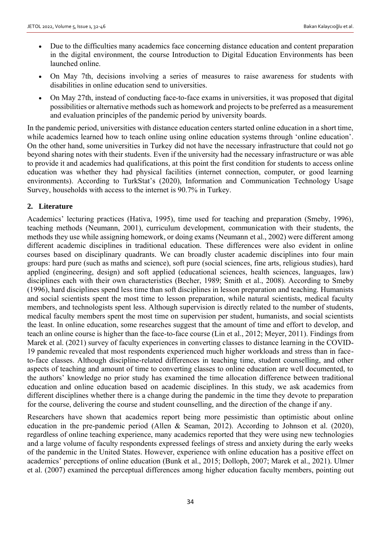- Due to the difficulties many academics face concerning distance education and content preparation in the digital environment, the course Introduction to Digital Education Environments has been launched online.
- On May 7th, decisions involving a series of measures to raise awareness for students with disabilities in online education send to universities.
- On May 27th, instead of conducting face-to-face exams in universities, it was proposed that digital possibilities or alternative methods such as homework and projects to be preferred as a measurement and evaluation principles of the pandemic period by university boards.

In the pandemic period, universities with distance education centers started online education in a short time, while academics learned how to teach online using online education systems through 'online education'. On the other hand, some universities in Turkey did not have the necessary infrastructure that could not go beyond sharing notes with their students. Even if the university had the necessary infrastructure or was able to provide it and academics had qualifications, at this point the first condition for students to access online education was whether they had physical facilities (internet connection, computer, or good learning environments). According to TurkStat's (2020), Information and Communication Technology Usage Survey, households with access to the internet is 90.7% in Turkey.

## **2. Literature**

Academics' lecturing practices (Hativa, 1995), time used for teaching and preparation (Smeby, 1996), teaching methods (Neumann, 2001), curriculum development, communication with their students, the methods they use while assigning homework, or doing exams (Neumann et al., 2002) were different among different academic disciplines in traditional education. These differences were also evident in online courses based on disciplinary quadrants. We can broadly cluster academic disciplines into four main groups: hard pure (such as maths and science), soft pure (social sciences, fine arts, religious studies), hard applied (engineering, design) and soft applied (educational sciences, health sciences, languages, law) disciplines each with their own characteristics (Becher, 1989; Smith et al., 2008). According to Smeby (1996), hard disciplines spend less time than soft disciplines in lesson preparation and teaching. Humanists and social scientists spent the most time to lesson preparation, while natural scientists, medical faculty members, and technologists spent less. Although supervision is directly related to the number of students, medical faculty members spent the most time on supervision per student, humanists, and social scientists the least. In online education, some researches suggest that the amount of time and effort to develop, and teach an online course is higher than the face-to-face course (Lin et al., 2012; Meyer, 2011). Findings from Marek et al. (2021) survey of faculty experiences in converting classes to distance learning in the COVID-19 pandemic revealed that most respondents experienced much higher workloads and stress than in faceto-face classes. Although discipline-related differences in teaching time, student counselling, and other aspects of teaching and amount of time to converting classes to online education are well documented, to the authors' knowledge no prior study has examined the time allocation difference between traditional education and online education based on academic disciplines. In this study, we ask academics from different disciplines whether there is a change during the pandemic in the time they devote to preparation for the course, delivering the course and student counselling, and the direction of the change if any.

Researchers have shown that academics report being more pessimistic than optimistic about online education in the pre-pandemic period (Allen & Seaman, 2012). According to Johnson et al. (2020), regardless of online teaching experience, many academics reported that they were using new technologies and a large volume of faculty respondents expressed feelings of stress and anxiety during the early weeks of the pandemic in the United States. However, experience with online education has a positive effect on academics' perceptions of online education (Bunk et al., 2015; Dolloph, 2007; Marek et al., 2021). Ulmer et al. (2007) examined the perceptual differences among higher education faculty members, pointing out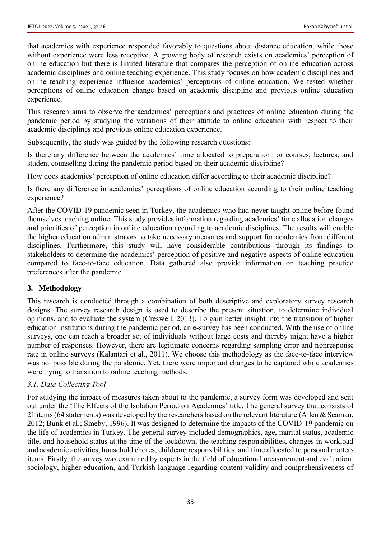that academics with experience responded favorably to questions about distance education, while those without experience were less receptive. A growing body of research exists on academics' perception of online education but there is limited literature that compares the perception of online education across academic disciplines and online teaching experience. This study focuses on how academic disciplines and online teaching experience influence academics' perceptions of online education. We tested whether perceptions of online education change based on academic discipline and previous online education experience.

This research aims to observe the academics' perceptions and practices of online education during the pandemic period by studying the variations of their attitude to online education with respect to their academic disciplines and previous online education experience.

Subsequently, the study was guided by the following research questions:

Is there any difference between the academics' time allocated to preparation for courses, lectures, and student counselling during the pandemic period based on their academic discipline?

How does academics' perception of online education differ according to their academic discipline?

Is there any difference in academics' perceptions of online education according to their online teaching experience?

After the COVID-19 pandemic seen in Turkey, the academics who had never taught online before found themselves teaching online. This study provides information regarding academics' time allocation changes and priorities of perception in online education according to academic disciplines. The results will enable the higher education administrators to take necessary measures and support for academics from different disciplines. Furthermore, this study will have considerable contributions through its findings to stakeholders to determine the academics' perception of positive and negative aspects of online education compared to face-to-face education. Data gathered also provide information on teaching practice preferences after the pandemic.

## **3. Methodology**

This research is conducted through a combination of both descriptive and exploratory survey research designs. The survey research design is used to describe the present situation, to determine individual opinions, and to evaluate the system (Creswell, 2013). To gain better insight into the transition of higher education institutions during the pandemic period, an e-survey has been conducted. With the use of online surveys, one can reach a broader set of individuals without large costs and thereby might have a higher number of responses. However, there are legitimate concerns regarding sampling error and nonresponse rate in online surveys (Kalantari et al., 2011). We choose this methodology as the face-to-face interview was not possible during the pandemic. Yet, there were important changes to be captured while academics were trying to transition to online teaching methods.

## *3.1. Data Collecting Tool*

For studying the impact of measures taken about to the pandemic, a survey form was developed and sent out under the 'The Effects of the Isolation Period on Academics' title. The general survey that consists of 21 items (64 statements) was developed by the researchers based on the relevant literature (Allen & Seaman, 2012; Bunk et al.; Smeby, 1996). It was designed to determine the impacts of the COVID-19 pandemic on the life of academics in Turkey. The general survey included demographics, age, marital status, academic title, and household status at the time of the lockdown, the teaching responsibilities, changes in workload and academic activities, household chores, childcare responsibilities, and time allocated to personal matters items. Firstly, the survey was examined by experts in the field of educational measurement and evaluation, sociology, higher education, and Turkish language regarding content validity and comprehensiveness of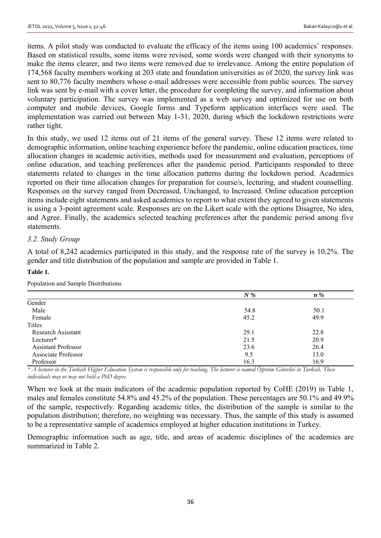items. A pilot study was conducted to evaluate the efficacy of the items using 100 academics' responses. Based on statistical results, some items were revised, some words were changed with their synonyms to make the items clearer, and two items were removed due to irrelevance. Among the entire population of 174,568 faculty members working at 203 state and foundation universities as of 2020, the survey link was sent to 80,776 faculty members whose e-mail addresses were accessible from public sources. The survey link was sent by e-mail with a cover letter, the procedure for completing the survey, and information about voluntary participation. The survey was implemented as a web survey and optimized for use on both computer and mobile devices, Google forms and Typeform application interfaces were used. The implementation was carried out between May 1-31, 2020, during which the lockdown restrictions were rather tight.

In this study, we used 12 items out of 21 items of the general survey. These 12 items were related to demographic information, online teaching experience before the pandemic, online education practices, time allocation changes in academic activities, methods used for measurement and evaluation, perceptions of online education, and teaching preferences after the pandemic period. Participants responded to three statements related to changes in the time allocation patterns during the lockdown period. Academics reported on their time allocation changes for preparation for course/s, lecturing, and student counselling. Responses on the survey ranged from Decreased, Unchanged, to Increased. Online education perception items include eight statements and asked academics to report to what extent they agreed to given statements is using a 3-point agreement scale. Responses are on the Likert scale with the options Disagree, No idea, and Agree. Finally, the academics selected teaching preferences after the pandemic period among five statements.

## *3.2. Study Group*

A total of 8,242 academics participated in this study, and the response rate of the survey is 10.2%. The gender and title distribution of the population and sample are provided in Table 1.

#### **Table 1.**

| $N\%$ |         |
|-------|---------|
|       | $n\%$   |
|       |         |
| 54.8  | 50.1    |
| 45.2  | 49.9    |
|       |         |
| 29.1  | 22.8    |
| 21.5  | 20.9    |
| 23.6  | 26.4    |
| 9.5   | 13.0    |
| 16.3  | 16.9    |
|       | $\cdot$ |

Population and Sample Distributions

*\* A lecturer in the Turkish Higher Education System is responsible only for teaching. The lecturer is named Öğretim Görevlisi in Turkish. These individuals may or may not hold a PhD degree.*

When we look at the main indicators of the academic population reported by CoHE (2019) in Table 1, males and females constitute 54.8% and 45.2% of the population. These percentages are 50.1% and 49.9% of the sample, respectively. Regarding academic titles, the distribution of the sample is similar to the population distribution; therefore, no weighting was necessary. Thus, the sample of this study is assumed to be a representative sample of academics employed at higher education institutions in Turkey.

Demographic information such as age, title, and areas of academic disciplines of the academics are summarized in Table 2.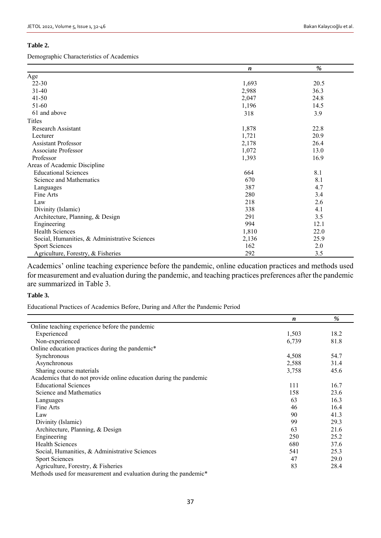#### **Table 2.**

Demographic Characteristics of Academics

|                                               | $\boldsymbol{n}$ | %    |
|-----------------------------------------------|------------------|------|
| Age                                           |                  |      |
| $22 - 30$                                     | 1,693            | 20.5 |
| 31-40                                         | 2,988            | 36.3 |
| $41 - 50$                                     | 2,047            | 24.8 |
| 51-60                                         | 1,196            | 14.5 |
| 61 and above                                  | 318              | 3.9  |
| Titles                                        |                  |      |
| <b>Research Assistant</b>                     | 1,878            | 22.8 |
| Lecturer                                      | 1,721            | 20.9 |
| <b>Assistant Professor</b>                    | 2,178            | 26.4 |
| <b>Associate Professor</b>                    | 1,072            | 13.0 |
| Professor                                     | 1,393            | 16.9 |
| Areas of Academic Discipline                  |                  |      |
| <b>Educational Sciences</b>                   | 664              | 8.1  |
| Science and Mathematics                       | 670              | 8.1  |
| Languages                                     | 387              | 4.7  |
| Fine Arts                                     | 280              | 3.4  |
| Law                                           | 218              | 2.6  |
| Divinity (Islamic)                            | 338              | 4.1  |
| Architecture, Planning, & Design              | 291              | 3.5  |
| Engineering                                   | 994              | 12.1 |
| <b>Health Sciences</b>                        | 1,810            | 22.0 |
| Social, Humanities, & Administrative Sciences | 2,136            | 25.9 |
| <b>Sport Sciences</b>                         | 162              | 2.0  |
| Agriculture, Forestry, & Fisheries            | 292              | 3.5  |

Academics' online teaching experience before the pandemic, online education practices and methods used for measurement and evaluation during the pandemic, and teaching practices preferences after the pandemic are summarized in Table 3.

#### **Table 3.**

Educational Practices of Academics Before, During and After the Pandemic Period

|                                                                    | $\boldsymbol{n}$ | $\frac{0}{0}$ |
|--------------------------------------------------------------------|------------------|---------------|
| Online teaching experience before the pandemic                     |                  |               |
| Experienced                                                        | 1,503            | 18.2          |
| Non-experienced                                                    | 6,739            | 81.8          |
| Online education practices during the pandemic*                    |                  |               |
| Synchronous                                                        | 4,508            | 54.7          |
| Asynchronous                                                       | 2,588            | 31.4          |
| Sharing course materials                                           | 3,758            | 45.6          |
| Academics that do not provide online education during the pandemic |                  |               |
| <b>Educational Sciences</b>                                        | 111              | 16.7          |
| Science and Mathematics                                            | 158              | 23.6          |
| Languages                                                          | 63               | 16.3          |
| Fine Arts                                                          | 46               | 16.4          |
| Law                                                                | 90               | 41.3          |
| Divinity (Islamic)                                                 | 99               | 29.3          |
| Architecture, Planning, & Design                                   | 63               | 21.6          |
| Engineering                                                        | 250              | 25.2          |
| <b>Health Sciences</b>                                             | 680              | 37.6          |
| Social, Humanities, & Administrative Sciences                      | 541              | 25.3          |
| <b>Sport Sciences</b>                                              | 47               | 29.0          |
| Agriculture, Forestry, & Fisheries                                 | 83               | 28.4          |
| Methods used for measurement and evaluation during the pandemic*   |                  |               |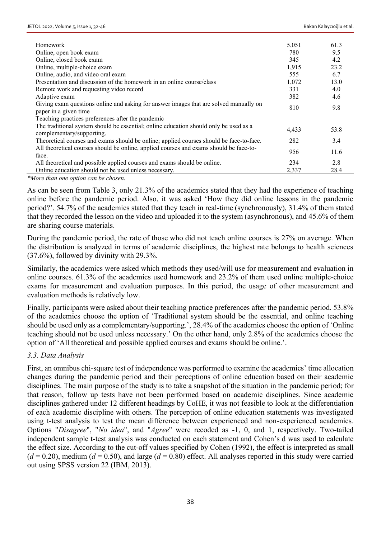| Homework                                                                                                           | 5,051 | 61.3 |
|--------------------------------------------------------------------------------------------------------------------|-------|------|
| Online, open book exam                                                                                             | 780   | 9.5  |
| Online, closed book exam                                                                                           | 345   | 4.2  |
| Online, multiple-choice exam                                                                                       | 1,915 | 23.2 |
| Online, audio, and video oral exam                                                                                 | 555   | 6.7  |
| Presentation and discussion of the homework in an online course/class                                              | 1,072 | 13.0 |
| Remote work and requesting video record                                                                            | 331   | 4.0  |
| Adaptive exam                                                                                                      | 382   | 4.6  |
| Giving exam questions online and asking for answer images that are solved manually on<br>paper in a given time     | 810   | 9.8  |
| Teaching practices preferences after the pandemic                                                                  |       |      |
| The traditional system should be essential; online education should only be used as a<br>complementary/supporting. | 4,433 | 53.8 |
| Theoretical courses and exams should be online; applied courses should be face-to-face.                            | 282   | 3.4  |
| All theoretical courses should be online, applied courses and exams should be face-to-                             | 956   | 11.6 |
| face.                                                                                                              |       |      |
| All theoretical and possible applied courses and exams should be online.                                           | 234   | 2.8  |
| Online education should not be used unless necessary.                                                              | 2,337 | 28.4 |

*\*More than one option can be chosen.*

As can be seen from Table 3, only 21.3% of the academics stated that they had the experience of teaching online before the pandemic period. Also, it was asked 'How they did online lessons in the pandemic period?'. 54.7% of the academics stated that they teach in real-time (synchronously), 31.4% of them stated that they recorded the lesson on the video and uploaded it to the system (asynchronous), and 45.6% of them are sharing course materials.

During the pandemic period, the rate of those who did not teach online courses is 27% on average. When the distribution is analyzed in terms of academic disciplines, the highest rate belongs to health sciences (37.6%), followed by divinity with 29.3%.

Similarly, the academics were asked which methods they used/will use for measurement and evaluation in online courses. 61.3% of the academics used homework and 23.2% of them used online multiple-choice exams for measurement and evaluation purposes. In this period, the usage of other measurement and evaluation methods is relatively low.

Finally, participants were asked about their teaching practice preferences after the pandemic period. 53.8% of the academics choose the option of 'Traditional system should be the essential, and online teaching should be used only as a complementary/supporting.', 28.4% of the academics choose the option of 'Online teaching should not be used unless necessary.' On the other hand, only 2.8% of the academics choose the option of 'All theoretical and possible applied courses and exams should be online.'.

## *3.3. Data Analysis*

First, an omnibus chi-square test of independence was performed to examine the academics' time allocation changes during the pandemic period and their perceptions of online education based on their academic disciplines. The main purpose of the study is to take a snapshot of the situation in the pandemic period; for that reason, follow up tests have not been performed based on academic disciplines. Since academic disciplines gathered under 12 different headings by CoHE, it was not feasible to look at the differentiation of each academic discipline with others. The perception of online education statements was investigated using t-test analysis to test the mean difference between experienced and non-experienced academics. Options "*Disagree*", "*No idea*", and "*Agree*" were recoded as -1, 0, and 1, respectively. Two-tailed independent sample t-test analysis was conducted on each statement and Cohen's d was used to calculate the effect size. According to the cut-off values specified by Cohen (1992), the effect is interpreted as small  $(d = 0.20)$ , medium  $(d = 0.50)$ , and large  $(d = 0.80)$  effect. All analyses reported in this study were carried out using SPSS version 22 (IBM, 2013).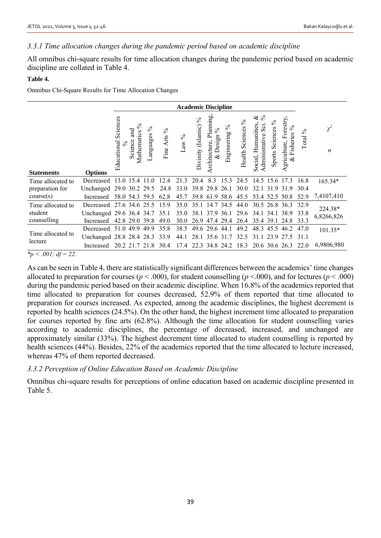## *3.3.1 Time allocation changes during the pandemic period based on academic discipline*

All omnibus chi-square results for time allocation changes during the pandemic period based on academic discipline are collated in Table 4.

#### **Table 4.**

Omnibus Chi-Square Results for Time Allocation Changes

| <b>Academic Discipline</b>                                                                                                                                                                                                                                                                                          |                          |                         |                                         |                   |                   |          |                      |                                                |                     |                                |                                                                |                                   |                                                           |               |                              |
|---------------------------------------------------------------------------------------------------------------------------------------------------------------------------------------------------------------------------------------------------------------------------------------------------------------------|--------------------------|-------------------------|-----------------------------------------|-------------------|-------------------|----------|----------------------|------------------------------------------------|---------------------|--------------------------------|----------------------------------------------------------------|-----------------------------------|-----------------------------------------------------------|---------------|------------------------------|
| <b>Statements</b>                                                                                                                                                                                                                                                                                                   | <b>Options</b>           | Sciences<br>Educational | $\%$<br>ម្ពុជ<br>Mathematics<br>Science | $\%$<br>Languages | $\%$<br>Fine Arts | Law $\%$ | Divinity (Islamic) % | Planning,<br>$\%$<br>& Design<br>Architecture, | $\%$<br>Engineering | $\%$<br><b>Health Sciences</b> | ళ<br>$\frac{5}{6}$<br>Social, Humanities,<br>dministrative Sci | $\%$<br>Sciences<br><b>Sports</b> | Forestry<br>O.<br>$\sim$<br>Fisheries<br>griculture,<br>ళ | $\%$<br>Total | $\chi^2$<br>$\boldsymbol{n}$ |
| Time allocated to                                                                                                                                                                                                                                                                                                   | Decreased                |                         | 13.0 15.4                               | 11.0              | 12.4              | 21.3     | 20.4                 | 8.3                                            | 15.3                | 24.5                           | 14.5                                                           | 15.6 17.3                         |                                                           | 16.8          | 165.34*                      |
| preparation for                                                                                                                                                                                                                                                                                                     | Unchanged 29.0 30.2 29.5 |                         |                                         |                   | 24.8              | 33.0     |                      | 39.8 29.8 26.1                                 |                     | 30.0                           | 32.1 31.9                                                      |                                   | 31.9                                                      | 30.4          |                              |
| course(s)                                                                                                                                                                                                                                                                                                           | Increased                |                         | 58.0 54.3 59.5                          |                   | 62.8              | 45.7     |                      | 39.8 61.9                                      | 58.6                | 45.5                           | 53.4 52.5 50.8                                                 |                                   |                                                           | 52.9          | 7,4107,410                   |
| Time allocated to                                                                                                                                                                                                                                                                                                   | Decreased 27.6 34.6 25.5 |                         |                                         |                   | 15.9              | 35.0     |                      | 35.1 14.7 34.5                                 |                     | 44.0                           | 30.5 26.8 36.3                                                 |                                   |                                                           | 32.9          | 224.38*                      |
| student                                                                                                                                                                                                                                                                                                             | Unchanged 29.6 36.4 34.7 |                         |                                         |                   | 35.1              | 35.0     |                      | 38.1 37.9 36.1                                 |                     | 29.6                           | 34.1 34.1 38.9                                                 |                                   |                                                           | 33.8          | 6,8266,826                   |
| counselling                                                                                                                                                                                                                                                                                                         | Increased                |                         | 42.8 29.0 39.8                          |                   | 49.0              | 30.0     | 26.9                 | 47.4                                           | 29.4                | 26.4                           | 35.4 39.1                                                      |                                   | 24.8                                                      | 33.3          |                              |
|                                                                                                                                                                                                                                                                                                                     | Decreased 51.0 49.9      |                         |                                         | 49.9              | 35.8              | 38.5     |                      | 49.6 29.6 44.1                                 |                     | 49.2                           | 48.3 45.5 46.2                                                 |                                   |                                                           | 47.0          | 101.35*                      |
| Time allocated to                                                                                                                                                                                                                                                                                                   | Unchanged 28.8 28.4 28.3 |                         |                                         |                   | 33.9              | 44.1     | 28.1                 | 35.6 31.7                                      |                     | 32.5                           | 31.1                                                           | 23.9                              | 27.5                                                      | 31.1          |                              |
| lecture                                                                                                                                                                                                                                                                                                             | Increased                |                         | 20.2 21.7                               | 21.8              | 30.4              | 17.4     |                      | 22.3 34.8 24.2                                 |                     | 18.3                           | 20.6 30.6 26.3                                                 |                                   |                                                           | 22.0          | 6,9806,980                   |
| $\frac{1}{2}$ $\frac{1}{2}$ $\frac{1}{2}$ $\frac{1}{2}$ $\frac{1}{2}$ $\frac{1}{2}$ $\frac{1}{2}$ $\frac{1}{2}$ $\frac{1}{2}$ $\frac{1}{2}$ $\frac{1}{2}$ $\frac{1}{2}$ $\frac{1}{2}$ $\frac{1}{2}$ $\frac{1}{2}$ $\frac{1}{2}$ $\frac{1}{2}$ $\frac{1}{2}$ $\frac{1}{2}$ $\frac{1}{2}$ $\frac{1}{2}$ $\frac{1}{2}$ |                          |                         |                                         |                   |                   |          |                      |                                                |                     |                                |                                                                |                                   |                                                           |               |                              |

*\*p < .001; df = 22.*

As can be seen in Table 4, there are statistically significant differences between the academics' time changes allocated to preparation for courses ( $p < .000$ ), for student counselling ( $p < .000$ ), and for lectures ( $p < .000$ ) during the pandemic period based on their academic discipline. When 16.8% of the academics reported that time allocated to preparation for courses decreased, 52.9% of them reported that time allocated to preparation for courses increased. As expected, among the academic disciplines, the highest decrement is reported by health sciences (24.5%). On the other hand, the highest increment time allocated to preparation for courses reported by fine arts (62.8%). Although the time allocation for student counselling varies according to academic disciplines, the percentage of decreased, increased, and unchanged are approximately similar (33%). The highest decrement time allocated to student counselling is reported by health sciences (44%). Besides, 22% of the academics reported that the time allocated to lecture increased, whereas 47% of them reported decreased.

## *3.3.2 Perception of Online Education Based on Academic Discipline*

Omnibus chi-square results for perceptions of online education based on academic discipline presented in Table 5.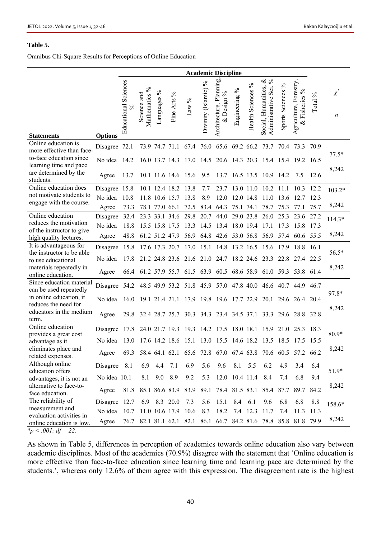#### **Table 5.**

Omnibus Chi-Square Results for Perceptions of Online Education

|                                                                                |                | <b>Academic Discipline</b>  |                              |                |                     |          |                            |                                                             |                    |                                |                                                   |                   |                                                             |         |                              |
|--------------------------------------------------------------------------------|----------------|-----------------------------|------------------------------|----------------|---------------------|----------|----------------------------|-------------------------------------------------------------|--------------------|--------------------------------|---------------------------------------------------|-------------------|-------------------------------------------------------------|---------|------------------------------|
| <b>Statements</b>                                                              | <b>Options</b> | <b>Educational Sciences</b> | Mathematics %<br>Science and | Languages %    | Fine Arts %         | Law $\%$ | $\%$<br>Divinity (Islamic) | Architecture, Planning<br>$\%$<br>Design '<br>ž,            | Engineering %      | $\%$<br><b>Health Sciences</b> | જ જ<br>Social, Humanities,<br>Administrative Sci. | Sports Sciences % | griculture, Forestry,<br>$\%$<br>Fisheries<br>$\infty$<br>⋖ | Total % | $\chi^2$<br>$\boldsymbol{n}$ |
| Online education is                                                            | Disagree 72.1  |                             |                              | 73.9 74.7 71.1 |                     | 67.4     | 76.0                       | 65.6 69.2 66.2                                              |                    |                                | 73.7                                              | 70.4              | 73.3                                                        | 70.9    |                              |
| more effective than face-<br>to-face education since<br>learning time and pace | No idea 14.2   |                             |                              |                | 16.0 13.7 14.3      |          |                            | 17.0 14.5 20.6 14.3 20.3 15.4 15.4 19.2 16.5                |                    |                                |                                                   |                   |                                                             |         | $77.5*$                      |
| are determined by the<br>students.                                             | Agree          | 13.7                        |                              |                | 10.1 11.6 14.6 15.6 |          | 9.5                        |                                                             |                    |                                | 13.7 16.5 13.5 10.9 14.2                          |                   | 7.5                                                         | 12.6    | 8,242                        |
| Online education does                                                          | Disagree 15.8  |                             |                              |                | 10.1 12.4 18.2      | 13.8     | 7.7                        | 23.7                                                        | 13.0 11.0          |                                | 10.2                                              | 11.1              | 10.3                                                        | 12.2    | $103.2*$                     |
| not motivate students to                                                       | No idea        | 10.8                        |                              | 11.8 10.6 15.7 |                     | 13.8     | 8.9                        | 12.0                                                        | 12.0 14.8          |                                | 11.0                                              | 13.6              | 12.7                                                        | 12.3    |                              |
| engage with the course.                                                        | Agree          | 73.3                        |                              | 78.1 77.0 66.1 |                     | 72.5     | 83.4                       | 64.3                                                        | 75.1 74.1          |                                | 78.7                                              | 75.3              | 77.1                                                        | 75.7    | 8,242                        |
| Online education<br>reduces the motivation                                     | Disagree       | 32.4                        |                              |                | 23.3 33.1 34.6      | 29.8     | 20.7                       | 44.0                                                        | 29.0 23.8          |                                | 26.0                                              | 25.3              | 23.6                                                        | 27.2    | $114.3*$                     |
| of the instructor to give                                                      | No idea        | 18.8                        |                              | 15.5 15.8 17.5 |                     | 13.3     | 14.5                       | 13.4                                                        | 18.0 19.4          |                                | 17.1                                              | 17.3              | 15.8                                                        | 17.3    |                              |
| high quality lectures.                                                         | Agree          | 48.8                        |                              |                | 61.2 51.2 47.9      |          |                            | 56.9 64.8 42.6 53.0 56.8 56.9                               |                    |                                |                                                   |                   | 57.4 60.6 55.5                                              |         | 8,242                        |
| It is advantageous for<br>the instructor to be able                            | Disagree       | 15.8                        |                              |                |                     |          |                            | 17.6 17.3 20.7 17.0 15.1 14.8 13.2 16.5 15.6 17.9           |                    |                                |                                                   |                   | 18.8 16.1                                                   |         | 56.5*                        |
| to use educational                                                             | No idea        | 17.8                        |                              |                |                     |          |                            | 21.2 24.8 23.6 21.6 21.0 24.7 18.2 24.6                     |                    |                                | 23.3                                              |                   | 22.8 27.4 22.5                                              |         |                              |
| materials repeatedly in<br>online education.                                   | Agree          | 66.4                        |                              |                |                     |          |                            | 61.2 57.9 55.7 61.5 63.9 60.5 68.6 58.9 61.0 59.3 53.8 61.4 |                    |                                |                                                   |                   |                                                             |         | 8,242                        |
| Since education material<br>can be used repeatedly                             | Disagree 54.2  |                             |                              |                |                     |          |                            | 48.5 49.9 53.2 51.8 45.9 57.0 47.8 40.0 46.6 40.7 44.9      |                    |                                |                                                   |                   |                                                             | 46.7    | 97.8*                        |
| in online education, it<br>reduces the need for                                | No idea        | 16.0                        |                              |                |                     |          |                            | 19.1 21.4 21.1 17.9 19.8 19.6 17.7 22.9                     |                    |                                | 20.1                                              |                   | 29.6 26.4 20.4                                              |         |                              |
| educators in the medium<br>term.                                               | Agree          | 29.8                        |                              |                |                     |          |                            | 32.4 28.7 25.7 30.3 34.3 23.4 34.5 37.1 33.3 29.6 28.8 32.8 |                    |                                |                                                   |                   |                                                             |         | 8,242                        |
| Online education                                                               | Disagree       | 17.8                        |                              |                | 24.0 21.7 19.3      | 19.3     |                            | 14.2 17.5 18.0 18.1                                         |                    |                                | 15.9                                              |                   | 21.0 25.3 18.3                                              |         |                              |
| provides a great cost                                                          | No idea        | 13.0                        |                              |                |                     |          |                            | 17.6 14.2 18.6 15.1 13.0 15.5 14.6 18.2 13.5 18.5 17.5 15.5 |                    |                                |                                                   |                   |                                                             |         | 80.9*                        |
| advantage as it<br>eliminates place and<br>related expenses.                   | Agree          | 69.3                        |                              |                |                     |          |                            | 58.4 64.1 62.1 65.6 72.8 67.0 67.4 63.8 70.6 60.5 57.2 66.2 |                    |                                |                                                   |                   |                                                             |         | 8,242                        |
| Although online                                                                | Disagree 8.1   |                             |                              | 6.9 4.4 7.1    |                     | 6.9      | 5.6                        |                                                             | 9.6 8.1 5.5        |                                | 6.2                                               | 4.9               | 3.4                                                         | 6.4     |                              |
| education offers                                                               |                |                             |                              |                |                     |          |                            |                                                             |                    |                                |                                                   |                   |                                                             |         | 51.9*                        |
| advantages, it is not an                                                       | No idea 10.1   |                             | 8.1                          | 9.0 8.9        |                     | 9.2      | 5.3                        |                                                             | 12.0 10.4 11.4 8.4 |                                |                                                   | 7.4               | 6.8                                                         | 9.4     |                              |
| alternative to face-to-                                                        | Agree          |                             |                              |                |                     |          |                            | 81.8 85.1 86.6 83.9 83.9 89.1 78.4 81.5 83.1 85.4 87.7 89.7 |                    |                                |                                                   |                   |                                                             | 84.2    | 8,242                        |
| face education.<br>The reliability of                                          |                |                             |                              |                |                     |          |                            |                                                             |                    |                                |                                                   |                   |                                                             |         |                              |
| measurement and                                                                | Disagree 12.7  |                             |                              |                | 6.9 8.3 20.0        | 7.3      | 5.6                        | 15.1                                                        | 8.4                | 6.1                            | 9.6                                               | 6.8               | 6.8                                                         | 8.8     | 158.6*                       |
| evaluation activities in                                                       | No idea        | 10.7                        |                              |                | 11.0 10.6 17.9 10.6 |          | 8.3                        |                                                             |                    |                                | 18.2 7.4 12.3 11.7                                | 7.4               | 11.3                                                        | 11.3    |                              |
| online education is low.<br>* $p < .001$ ; df = 22.                            | Agree          | 76.7                        |                              |                |                     |          |                            | 82.1 81.1 62.1 82.1 86.1 66.7 84.2 81.6 78.8 85.8 81.8 79.9 |                    |                                |                                                   |                   |                                                             |         | 8,242                        |

As shown in Table 5, differences in perception of academics towards online education also vary between academic disciplines. Most of the academics (70.9%) disagree with the statement that 'Online education is more effective than face-to-face education since learning time and learning pace are determined by the students.', whereas only 12.6% of them agree with this expression. The disagreement rate is the highest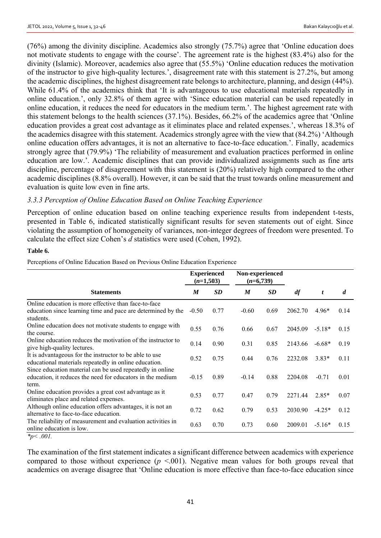(76%) among the divinity discipline. Academics also strongly (75.7%) agree that 'Online education does not motivate students to engage with the course'. The agreement rate is the highest (83.4%) also for the divinity (Islamic). Moreover, academics also agree that (55.5%) 'Online education reduces the motivation of the instructor to give high-quality lectures.', disagreement rate with this statement is 27.2%, but among the academic disciplines, the highest disagreement rate belongs to architecture, planning, and design (44%). While 61.4% of the academics think that 'It is advantageous to use educational materials repeatedly in online education.', only 32.8% of them agree with 'Since education material can be used repeatedly in online education, it reduces the need for educators in the medium term.'. The highest agreement rate with this statement belongs to the health sciences (37.1%). Besides, 66.2% of the academics agree that 'Online education provides a great cost advantage as it eliminates place and related expenses.', whereas 18.3% of the academics disagree with this statement. Academics strongly agree with the view that (84.2%) 'Although online education offers advantages, it is not an alternative to face-to-face education.'. Finally, academics strongly agree that (79.9%) 'The reliability of measurement and evaluation practices performed in online education are low.'. Academic disciplines that can provide individualized assignments such as fine arts discipline, percentage of disagreement with this statement is (20%) relatively high compared to the other academic disciplines (8.8% overall). However, it can be said that the trust towards online measurement and evaluation is quite low even in fine arts.

## *3.3.3 Perception of Online Education Based on Online Teaching Experience*

Perception of online education based on online teaching experience results from independent t-tests, presented in Table 6, indicated statistically significant results for seven statements out of eight. Since violating the assumption of homogeneity of variances, non-integer degrees of freedom were presented. To calculate the effect size Cohen's *d* statistics were used (Cohen, 1992).

#### **Table 6.**

Perceptions of Online Education Based on Previous Online Education Experience

| M       | SD   | M                                 | <b>SD</b> | df                             | t        | $\boldsymbol{d}$ |
|---------|------|-----------------------------------|-----------|--------------------------------|----------|------------------|
|         |      |                                   |           |                                |          |                  |
| $-0.50$ | 0.77 | $-0.60$                           | 0.69      | 2062.70                        | $4.96*$  | 0.14             |
| 0.55    | 0.76 | 0.66                              | 0.67      | 2045.09                        | $-5.18*$ | 0.15             |
| 0.14    | 0.90 | 0.31                              | 0.85      | 2143.66                        | $-6.68*$ | 0.19             |
| 0.52    | 0.75 | 0.44                              | 0.76      | 2232.08                        | $3.83*$  | 0.11             |
| $-0.15$ | 0.89 | $-0.14$                           | 0.88      | 2204.08                        | $-0.71$  | 0.01             |
| 0.53    | 0.77 | 0.47                              | 0.79      | 2271.44                        | $2.85*$  | 0.07             |
| 0.72    | 0.62 | 0.79                              | 0.53      | 2030.90                        | $-4.25*$ | 0.12             |
| 0.63    | 0.70 | 0.73                              | 0.60      | 2009.01                        | $-5.16*$ | 0.15             |
|         |      | <b>Experienced</b><br>$(n=1,503)$ |           | Non-experienced<br>$(n=6,739)$ |          |                  |

*<sup>\*</sup>p< .001.*

The examination of the first statement indicates a significant difference between academics with experience compared to those without experience  $(p \le 0.001)$ . Negative mean values for both groups reveal that academics on average disagree that 'Online education is more effective than face-to-face education since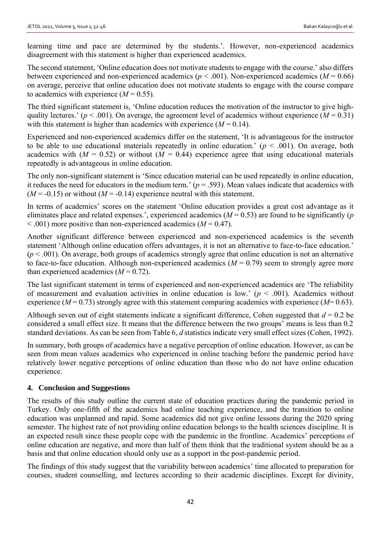learning time and pace are determined by the students.'. However, non-experienced academics disagreement with this statement is higher than experienced academics.

The second statement, 'Online education does not motivate students to engage with the course.' also differs between experienced and non-experienced academics ( $p < .001$ ). Non-experienced academics ( $M = 0.66$ ) on average, perceive that online education does not motivate students to engage with the course compare to academics with experience  $(M = 0.55)$ .

The third significant statement is, 'Online education reduces the motivation of the instructor to give highquality lectures.' ( $p < .001$ ). On average, the agreement level of academics without experience ( $M = 0.31$ ) with this statement is higher than academics with experience  $(M = 0.14)$ .

Experienced and non-experienced academics differ on the statement, 'It is advantageous for the instructor to be able to use educational materials repeatedly in online education.'  $(p < .001)$ . On average, both academics with  $(M = 0.52)$  or without  $(M = 0.44)$  experience agree that using educational materials repeatedly is advantageous in online education.

The only non-significant statement is 'Since education material can be used repeatedly in online education, it reduces the need for educators in the medium term.'  $(p = .593)$ . Mean values indicate that academics with  $(M = -0.15)$  or without  $(M = -0.14)$  experience neutral with this statement.

In terms of academics' scores on the statement 'Online education provides a great cost advantage as it eliminates place and related expenses.', experienced academics  $(M = 0.53)$  are found to be significantly (*p*  $< .001$ ) more positive than non-experienced academics ( $M = 0.47$ ).

Another significant difference between experienced and non-experienced academics is the seventh statement 'Although online education offers advantages, it is not an alternative to face-to-face education.'  $(p < .001)$ . On average, both groups of academics strongly agree that online education is not an alternative to face-to-face education. Although non-experienced academics  $(M = 0.79)$  seem to strongly agree more than experienced academics  $(M = 0.72)$ .

The last significant statement in terms of experienced and non-experienced academics are 'The reliability of measurement and evaluation activities in online education is low.'  $(p < .001)$ . Academics without experience ( $M = 0.73$ ) strongly agree with this statement comparing academics with experience ( $M=0.63$ ).

Although seven out of eight statements indicate a significant difference, Cohen suggested that  $d = 0.2$  be considered a small effect size. It means that the difference between the two groups' means is less than 0.2 standard deviations. As can be seen from Table 6, *d* statistics indicate very small effect sizes (Cohen, 1992).

In summary, both groups of academics have a negative perception of online education. However, as can be seen from mean values academics who experienced in online teaching before the pandemic period have relatively lower negative perceptions of online education than those who do not have online education experience.

## **4. Conclusion and Suggestions**

The results of this study outline the current state of education practices during the pandemic period in Turkey. Only one-fifth of the academics had online teaching experience, and the transition to online education was unplanned and rapid. Some academics did not give online lessons during the 2020 spring semester. The highest rate of not providing online education belongs to the health sciences discipline. It is an expected result since these people cope with the pandemic in the frontline. Academics' perceptions of online education are negative, and more than half of them think that the traditional system should be as a basis and that online education should only use as a support in the post-pandemic period.

The findings of this study suggest that the variability between academics' time allocated to preparation for courses, student counselling, and lectures according to their academic disciplines. Except for divinity,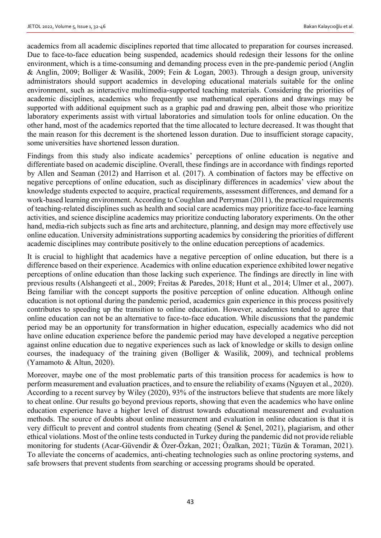academics from all academic disciplines reported that time allocated to preparation for courses increased. Due to face-to-face education being suspended, academics should redesign their lessons for the online environment, which is a time-consuming and demanding process even in the pre-pandemic period (Anglin & Anglin, 2009; Bolliger & Wasilik, 2009; Fein & Logan, 2003). Through a design group, university administrators should support academics in developing educational materials suitable for the online environment, such as interactive multimedia-supported teaching materials. Considering the priorities of academic disciplines, academics who frequently use mathematical operations and drawings may be supported with additional equipment such as a graphic pad and drawing pen, albeit those who prioritize laboratory experiments assist with virtual laboratories and simulation tools for online education. On the other hand, most of the academics reported that the time allocated to lecture decreased. It was thought that the main reason for this decrement is the shortened lesson duration. Due to insufficient storage capacity, some universities have shortened lesson duration.

Findings from this study also indicate academics' perceptions of online education is negative and differentiate based on academic discipline. Overall, these findings are in accordance with findings reported by Allen and Seaman (2012) and Harrison et al. (2017). A combination of factors may be effective on negative perceptions of online education, such as disciplinary differences in academics' view about the knowledge students expected to acquire, practical requirements, assessment differences, and demand for a work-based learning environment. According to Coughlan and Perryman (2011), the practical requirements of teaching-related disciplines such as health and social care academics may prioritize face-to-face learning activities, and science discipline academics may prioritize conducting laboratory experiments. On the other hand, media-rich subjects such as fine arts and architecture, planning, and design may more effectively use online education. University administrations supporting academics by considering the priorities of different academic disciplines may contribute positively to the online education perceptions of academics.

It is crucial to highlight that academics have a negative perception of online education, but there is a difference based on their experience. Academics with online education experience exhibited lower negative perceptions of online education than those lacking such experience. The findings are directly in line with previous results (Alshangeeti et al., 2009; Freitas & Paredes, 2018; Hunt et al., 2014; Ulmer et al., 2007). Being familiar with the concept supports the positive perception of online education. Although online education is not optional during the pandemic period, academics gain experience in this process positively contributes to speeding up the transition to online education. However, academics tended to agree that online education can not be an alternative to face-to-face education. While discussions that the pandemic period may be an opportunity for transformation in higher education, especially academics who did not have online education experience before the pandemic period may have developed a negative perception against online education due to negative experiences such as lack of knowledge or skills to design online courses, the inadequacy of the training given (Bolliger & Wasilik, 2009), and technical problems (Yamamoto & Altun, 2020).

Moreover, maybe one of the most problematic parts of this transition process for academics is how to perform measurement and evaluation practices, and to ensure the reliability of exams (Nguyen et al., 2020). According to a recent survey by Wiley (2020), 93% of the instructors believe that students are more likely to cheat online. Our results go beyond previous reports, showing that even the academics who have online education experience have a higher level of distrust towards educational measurement and evaluation methods. The source of doubts about online measurement and evaluation in online education is that it is very difficult to prevent and control students from cheating (Şenel & Şenel, 2021), plagiarism, and other ethical violations. Most of the online tests conducted in Turkey during the pandemic did not provide reliable monitoring for students (Acar-Güvendir & Özer-Özkan, 2021; Özalkan, 2021; Tüzün & Toraman, 2021). To alleviate the concerns of academics, anti-cheating technologies such as online proctoring systems, and safe browsers that prevent students from searching or accessing programs should be operated.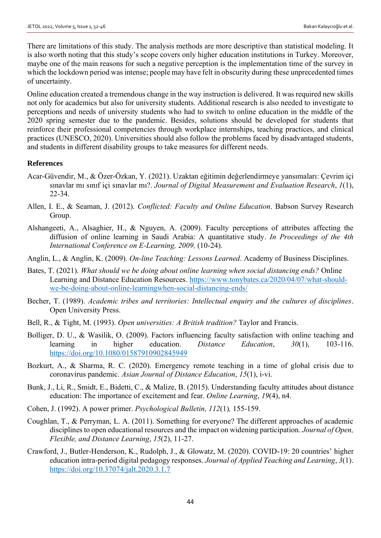There are limitations of this study. The analysis methods are more descriptive than statistical modeling. It is also worth noting that this study's scope covers only higher education institutions in Turkey. Moreover, maybe one of the main reasons for such a negative perception is the implementation time of the survey in which the lockdown period was intense; people may have felt in obscurity during these unprecedented times of uncertainty.

Online education created a tremendous change in the way instruction is delivered. It was required new skills not only for academics but also for university students. Additional research is also needed to investigate to perceptions and needs of university students who had to switch to online education in the middle of the 2020 spring semester due to the pandemic. Besides, solutions should be developed for students that reinforce their professional competencies through workplace internships, teaching practices, and clinical practices (UNESCO, 2020). Universities should also follow the problems faced by disadvantaged students, and students in different disability groups to take measures for different needs.

#### **References**

- Acar-Güvendir, M., & Özer-Özkan, Y. (2021). Uzaktan eğitimin değerlendirmeye yansımaları: Çevrim içi sınavlar mı sınıf içi sınavlar mı?. *Journal of Digital Measurement and Evaluation Research*, *1*(1), 22-34.
- Allen, I. E., & Seaman, J. (2012). *Conflicted: Faculty and Online Education*. Babson Survey Research Group.
- Alshangeeti, A., Alsaghier, H., & Nguyen, A. (2009). Faculty perceptions of attributes affecting the diffusion of online learning in Saudi Arabia: A quantitative study. *In Proceedings of the 4th International Conference on E-Learning, 2009,* (10-24).
- Anglin, L., & Anglin, K. (2009). *On-line Teaching: Lessons Learned*. Academy of Business Disciplines.
- Bates, T. (2021). *What should we be doing about online learning when social distancing ends?* Online Learning and Distance Education Resources. [https://www.tonybates.ca/2020/04/07/what-should](https://www.tonybates.ca/2020/04/07/what-should-we-be-doing-about-online-learningwhen-)[we-be-doing-about-online-learningwhen-s](https://www.tonybates.ca/2020/04/07/what-should-we-be-doing-about-online-learningwhen-)ocial-distancing-ends/
- Becher, T. (1989). *Academic tribes and territories: Intellectual enquiry and the cultures of disciplines*. Open University Press.
- Bell, R., & Tight, M. (1993). *Open universities: A British tradition?* Taylor and Francis.
- Bolliger, D. U., & Wasilik, O. (2009). Factors influencing faculty satisfaction with online teaching and learning in higher education. *Distance Education*, *30*(1), 103-116. <https://doi.org/10.1080/01587910902845949>
- Bozkurt, A., & Sharma, R. C. (2020). Emergency remote teaching in a time of global crisis due to coronavirus pandemic. *Asian Journal of Distance Education*, *15*(1), i-vi.
- Bunk, J., Li, R., Smidt, E., Bidetti, C., & Malize, B. (2015). Understanding faculty attitudes about distance education: The importance of excitement and fear. *Online Learning*, *19*(4), n4.
- Cohen, J. (1992). A power primer. *Psychological Bulletin, 112*(1)*,* 155-159.
- Coughlan, T., & Perryman, L. A. (2011). Something for everyone? The different approaches of academic disciplines to open educational resources and the impact on widening participation. *Journal of Open, Flexible, and Distance Learning*, *15*(2), 11-27.
- Crawford, J., Butler-Henderson, K., Rudolph, J., & Glowatz, M. (2020). COVID-19: 20 countries' higher education intra-period digital pedagogy responses. *Journal of Applied Teaching and Learning*, *3*(1). <https://doi.org/10.37074/jalt.2020.3.1.7>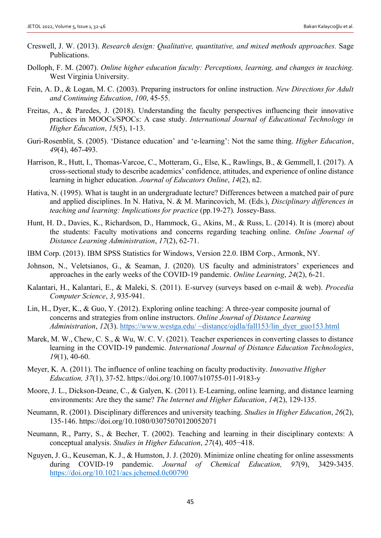- Creswell, J. W. (2013). *Research design: Qualitative, quantitative, and mixed methods approaches.* Sage Publications.
- Dolloph, F. M. (2007). *Online higher education faculty: Perceptions, learning, and changes in teaching.* West Virginia University.
- Fein, A. D., & Logan, M. C. (2003). Preparing instructors for online instruction. *New Directions for Adult and Continuing Education*, *100*, 45-55.
- Freitas, A., & Paredes, J. (2018). Understanding the faculty perspectives influencing their innovative practices in MOOCs/SPOCs: A case study. *International Journal of Educational Technology in Higher Education*, *15*(5), 1-13.
- Guri-Rosenblit, S. (2005). 'Distance education' and 'e-learning': Not the same thing. *Higher Education*, *49*(4), 467-493.
- Harrison, R., Hutt, I., Thomas-Varcoe, C., Motteram, G., Else, K., Rawlings, B., & Gemmell, I. (2017). A cross-sectional study to describe academics' confidence, attitudes, and experience of online distance learning in higher education. *Journal of Educators Online*, *14*(2), n2.
- Hativa, N. (1995). What is taught in an undergraduate lecture? Differences between a matched pair of pure and applied disciplines. In N. Hativa, N. & M. Marincovich, M. (Eds.), *Disciplinary differences in teaching and learning: Implications for practice* (pp.19-27)*.* Jossey-Bass.
- Hunt, H. D., Davies, K., Richardson, D., Hammock, G., Akins, M., & Russ, L. (2014). It is (more) about the students: Faculty motivations and concerns regarding teaching online. *Online Journal of Distance Learning Administration*, *17*(2), 62-71.
- IBM Corp. (2013). IBM SPSS Statistics for Windows, Version 22.0. IBM Corp., Armonk, NY.
- Johnson, N., Veletsianos, G., & Seaman, J. (2020). US faculty and administrators' experiences and approaches in the early weeks of the COVID-19 pandemic. *Online Learning*, *24*(2), 6-21.
- Kalantari, H., Kalantari, E., & Maleki, S. (2011). E-survey (surveys based on e-mail & web). *Procedia Computer Science*, *3*, 935-941.
- Lin, H., Dyer, K., & Guo, Y. (2012). Exploring online teaching: A three-year composite journal of concerns and strategies from online instructors. *Online Journal of Distance Learning Administration*, *12*(3). [https://www.westga.edu/ ~distance/ojdla/fall153/lin\\_dyer\\_guo153.html](https://www.westga.edu/%20~distance/ojdla/fall153/lin_dyer_guo153.html)
- Marek, M. W., Chew, C. S., & Wu, W. C. V. (2021). Teacher experiences in converting classes to distance learning in the COVID-19 pandemic. *International Journal of Distance Education Technologies*, *19*(1), 40-60.
- Meyer, K. A. (2011). The influence of online teaching on faculty productivity. *Innovative Higher Education, 37*(1), 37-52. https://doi.org/10.1007/s10755-011-9183-y
- Moore, J. L., Dickson-Deane, C., & Galyen, K. (2011). E-Learning, online learning, and distance learning environments: Are they the same? *The Internet and Higher Education*, *14*(2), 129-135.
- Neumann, R. (2001). Disciplinary differences and university teaching. *Studies in Higher Education*, *26*(2), 135-146. https://doi.org/10.1080/03075070120052071
- Neumann, R., Parry, S., & Becher, T. (2002). Teaching and learning in their disciplinary contexts: A conceptual analysis. *Studies in Higher Education*, *27*(4), 405−418.
- Nguyen, J. G., Keuseman, K. J., & Humston, J. J. (2020). Minimize online cheating for online assessments during COVID-19 pandemic. *Journal of Chemical Education, 97*(9), 3429-3435. <https://doi.org/10.1021/acs.jchemed.0c00790>